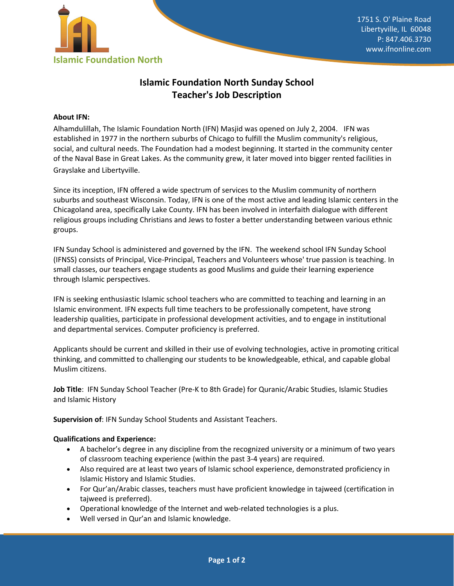

# **Islamic Foundation North Sunday School Teacher's Job Description**

## **About IFN:**

Alhamdulillah, The Islamic Foundation North (IFN) Masjid was opened on July 2, 2004. IFN was established in 1977 in the northern suburbs of Chicago to fulfill the Muslim community's religious, social, and cultural needs. The Foundation had a modest beginning. It started in the community center of the Naval Base in Great Lakes. As the community grew, it later moved into bigger rented facilities in Grayslake and Libertyville.

Since its inception, IFN offered a wide spectrum of services to the Muslim community of northern suburbs and southeast Wisconsin. Today, IFN is one of the most active and leading Islamic centers in the Chicagoland area, specifically Lake County. IFN has been involved in interfaith dialogue with different religious groups including Christians and Jews to foster a better understanding between various ethnic groups.

IFN Sunday School is administered and governed by the IFN. The weekend school IFN Sunday School (IFNSS) consists of Principal, Vice-Principal, Teachers and Volunteers whose' true passion is teaching. In small classes, our teachers engage students as good Muslims and guide their learning experience through Islamic perspectives.

IFN is seeking enthusiastic Islamic school teachers who are committed to teaching and learning in an Islamic environment. IFN expects full time teachers to be professionally competent, have strong leadership qualities, participate in professional development activities, and to engage in institutional and departmental services. Computer proficiency is preferred.

Applicants should be current and skilled in their use of evolving technologies, active in promoting critical thinking, and committed to challenging our students to be knowledgeable, ethical, and capable global Muslim citizens.

**Job Title**: IFN Sunday School Teacher (Pre-K to 8th Grade) for Quranic/Arabic Studies, Islamic Studies and Islamic History

**Supervision of**: IFN Sunday School Students and Assistant Teachers.

#### **Qualifications and Experience:**

- A bachelor's degree in any discipline from the recognized university or a minimum of two years of classroom teaching experience (within the past 3-4 years) are required.
- Also required are at least two years of Islamic school experience, demonstrated proficiency in Islamic History and Islamic Studies.
- For Qur'an/Arabic classes, teachers must have proficient knowledge in tajweed (certification in tajweed is preferred).
- Operational knowledge of the Internet and web-related technologies is a plus.
- Well versed in Qur'an and Islamic knowledge.